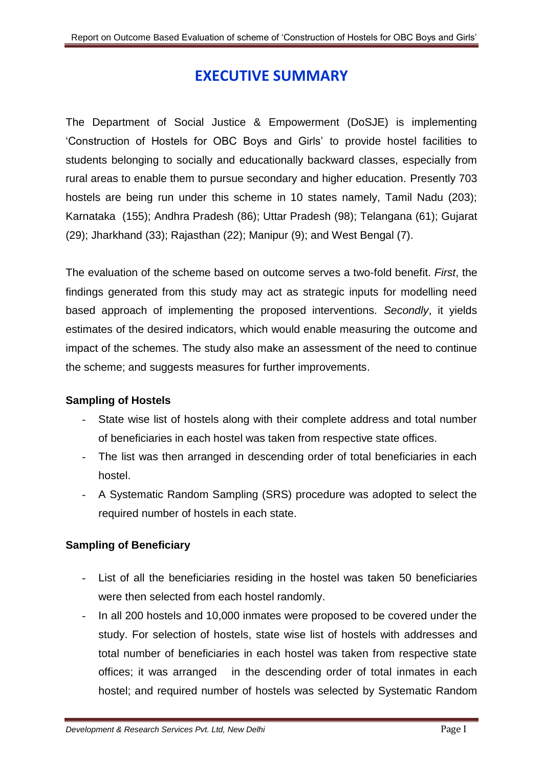# **EXECUTIVE SUMMARY**

The Department of Social Justice & Empowerment (DoSJE) is implementing 'Construction of Hostels for OBC Boys and Girls' to provide hostel facilities to students belonging to socially and educationally backward classes, especially from rural areas to enable them to pursue secondary and higher education. Presently 703 hostels are being run under this scheme in 10 states namely, Tamil Nadu (203); Karnataka (155); Andhra Pradesh (86); Uttar Pradesh (98); Telangana (61); Gujarat  $(29)$ ; Jharkhand  $(33)$ ; Rajasthan  $(22)$ ; Manipur  $(9)$ ; and West Bengal  $(7)$ .

The evaluation of the scheme based on outcome serves a two-fold benefit. *First*, the findings generated from this study may act as strategic inputs for modelling need based approach of implementing the proposed interventions. *Secondly*, it yields estimates of the desired indicators, which would enable measuring the outcome and impact of the schemes. The study also make an assessment of the need to continue the scheme; and suggests measures for further improvements.

# **Sampling of Hostels**

- State wise list of hostels along with their complete address and total number of beneficiaries in each hostel was taken from respective state offices.
- The list was then arranged in descending order of total beneficiaries in each hostel.
- A Systematic Random Sampling (SRS) procedure was adopted to select the required number of hostels in each state.

# **Sampling of Beneficiary**

- List of all the beneficiaries residing in the hostel was taken 50 beneficiaries were then selected from each hostel randomly.
- In all 200 hostels and 10,000 inmates were proposed to be covered under the study. For selection of hostels, state wise list of hostels with addresses and total number of beneficiaries in each hostel was taken from respective state offices; it was arranged in the descending order of total inmates in each hostel; and required number of hostels was selected by Systematic Random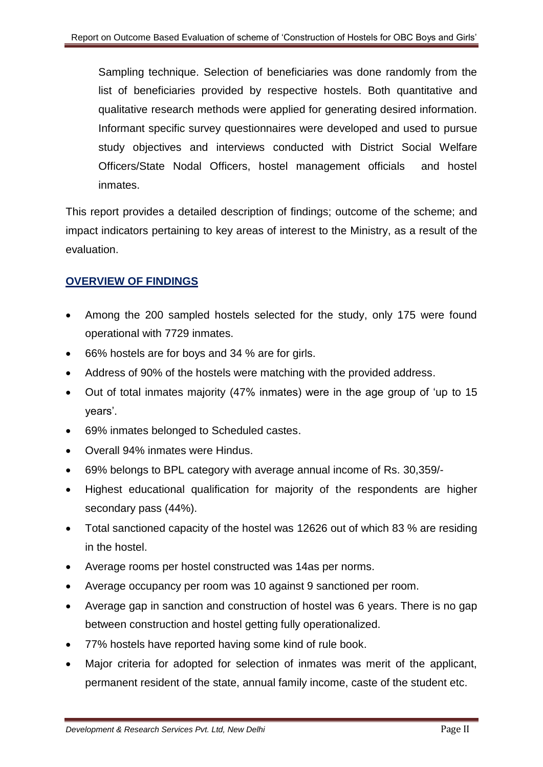Sampling technique. Selection of beneficiaries was done randomly from the list of beneficiaries provided by respective hostels. Both quantitative and qualitative research methods were applied for generating desired information. Informant specific survey questionnaires were developed and used to pursue study objectives and interviews conducted with District Social Welfare Officers/State Nodal Officers, hostel management officials and hostel inmates.

This report provides a detailed description of findings; outcome of the scheme; and impact indicators pertaining to key areas of interest to the Ministry, as a result of the evaluation.

# **OVERVIEW OF FINDINGS**

- Among the 200 sampled hostels selected for the study, only 175 were found operational with 7729 inmates.
- 66% hostels are for boys and 34 % are for girls.
- Address of 90% of the hostels were matching with the provided address.
- Out of total inmates majority (47% inmates) were in the age group of 'up to 15 years'.
- 69% inmates belonged to Scheduled castes.
- Overall 94% inmates were Hindus.
- 69% belongs to BPL category with average annual income of Rs. 30,359/-
- Highest educational qualification for majority of the respondents are higher secondary pass (44%).
- Total sanctioned capacity of the hostel was 12626 out of which 83 % are residing in the hostel.
- Average rooms per hostel constructed was 14as per norms.
- Average occupancy per room was 10 against 9 sanctioned per room.
- Average gap in sanction and construction of hostel was 6 years. There is no gap between construction and hostel getting fully operationalized.
- 77% hostels have reported having some kind of rule book.
- Major criteria for adopted for selection of inmates was merit of the applicant, permanent resident of the state, annual family income, caste of the student etc.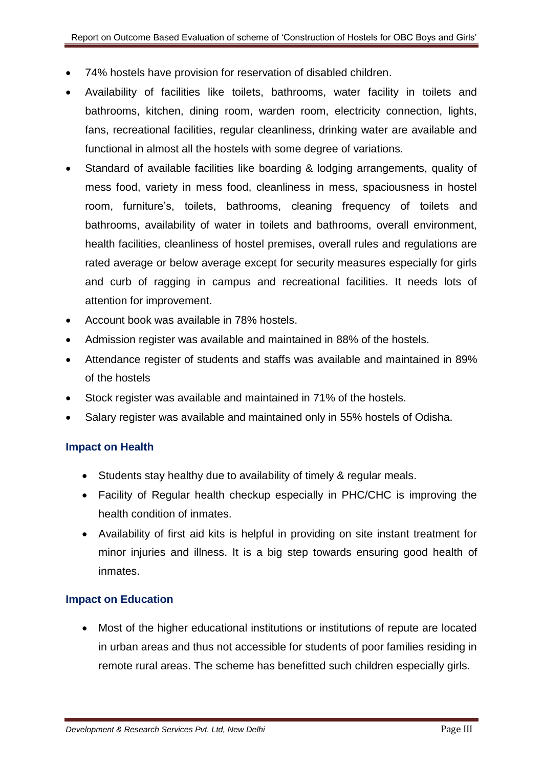- 74% hostels have provision for reservation of disabled children.
- Availability of facilities like toilets, bathrooms, water facility in toilets and bathrooms, kitchen, dining room, warden room, electricity connection, lights, fans, recreational facilities, regular cleanliness, drinking water are available and functional in almost all the hostels with some degree of variations.
- Standard of available facilities like boarding & lodging arrangements, quality of mess food, variety in mess food, cleanliness in mess, spaciousness in hostel room, furniture's, toilets, bathrooms, cleaning frequency of toilets and bathrooms, availability of water in toilets and bathrooms, overall environment, health facilities, cleanliness of hostel premises, overall rules and regulations are rated average or below average except for security measures especially for girls and curb of ragging in campus and recreational facilities. It needs lots of attention for improvement.
- Account book was available in 78% hostels.
- Admission register was available and maintained in 88% of the hostels.
- Attendance register of students and staffs was available and maintained in 89% of the hostels
- Stock register was available and maintained in 71% of the hostels.
- Salary register was available and maintained only in 55% hostels of Odisha.

## **Impact on Health**

- Students stay healthy due to availability of timely & regular meals.
- Facility of Regular health checkup especially in PHC/CHC is improving the health condition of inmates.
- Availability of first aid kits is helpful in providing on site instant treatment for minor injuries and illness. It is a big step towards ensuring good health of inmates.

## **Impact on Education**

 Most of the higher educational institutions or institutions of repute are located in urban areas and thus not accessible for students of poor families residing in remote rural areas. The scheme has benefitted such children especially girls.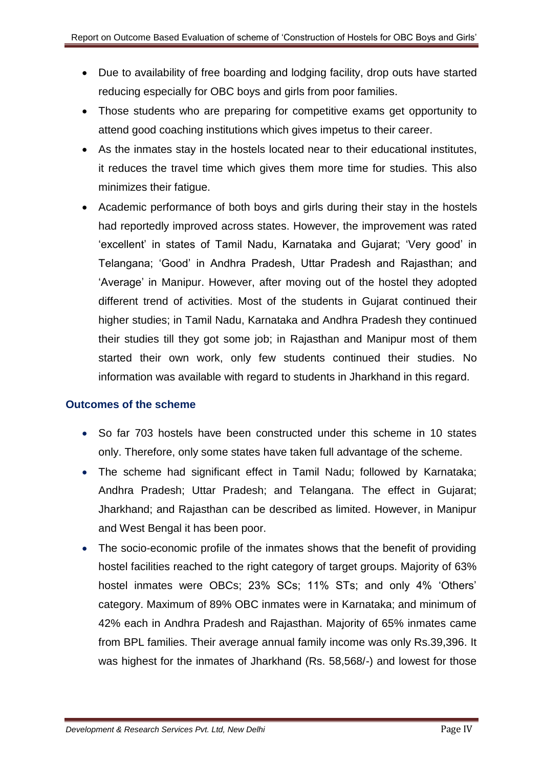- Due to availability of free boarding and lodging facility, drop outs have started reducing especially for OBC boys and girls from poor families.
- Those students who are preparing for competitive exams get opportunity to attend good coaching institutions which gives impetus to their career.
- As the inmates stay in the hostels located near to their educational institutes, it reduces the travel time which gives them more time for studies. This also minimizes their fatigue.
- Academic performance of both boys and girls during their stay in the hostels had reportedly improved across states. However, the improvement was rated 'excellent' in states of Tamil Nadu, Karnataka and Gujarat; 'Very good' in Telangana; 'Good' in Andhra Pradesh, Uttar Pradesh and Rajasthan; and 'Average' in Manipur. However, after moving out of the hostel they adopted different trend of activities. Most of the students in Gujarat continued their higher studies; in Tamil Nadu, Karnataka and Andhra Pradesh they continued their studies till they got some job; in Rajasthan and Manipur most of them started their own work, only few students continued their studies. No information was available with regard to students in Jharkhand in this regard.

## **Outcomes of the scheme**

- So far 703 hostels have been constructed under this scheme in 10 states only. Therefore, only some states have taken full advantage of the scheme.
- The scheme had significant effect in Tamil Nadu; followed by Karnataka; Andhra Pradesh; Uttar Pradesh; and Telangana. The effect in Gujarat; Jharkhand; and Rajasthan can be described as limited. However, in Manipur and West Bengal it has been poor.
- The socio-economic profile of the inmates shows that the benefit of providing hostel facilities reached to the right category of target groups. Majority of 63% hostel inmates were OBCs; 23% SCs; 11% STs; and only 4% 'Others' category. Maximum of 89% OBC inmates were in Karnataka; and minimum of 42% each in Andhra Pradesh and Rajasthan. Majority of 65% inmates came from BPL families. Their average annual family income was only Rs.39,396. It was highest for the inmates of Jharkhand (Rs. 58,568/-) and lowest for those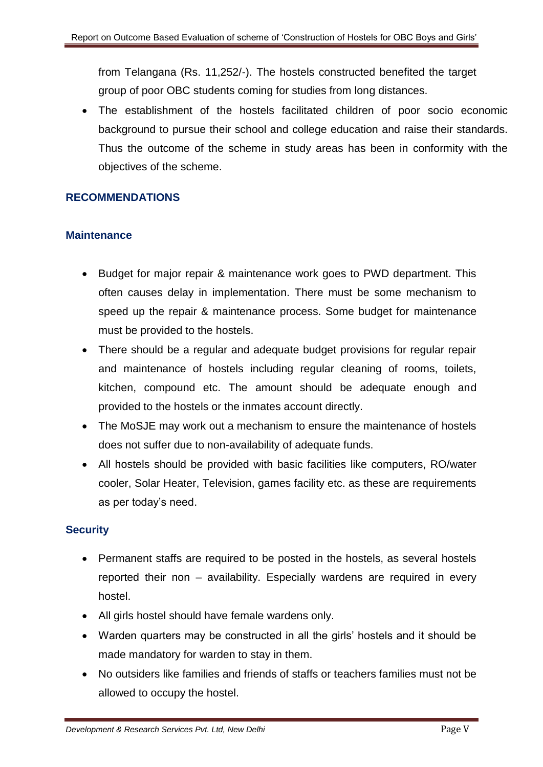from Telangana (Rs. 11,252/-). The hostels constructed benefited the target group of poor OBC students coming for studies from long distances.

 The establishment of the hostels facilitated children of poor socio economic background to pursue their school and college education and raise their standards. Thus the outcome of the scheme in study areas has been in conformity with the objectives of the scheme.

# **RECOMMENDATIONS**

# **Maintenance**

- Budget for major repair & maintenance work goes to PWD department. This often causes delay in implementation. There must be some mechanism to speed up the repair & maintenance process. Some budget for maintenance must be provided to the hostels.
- There should be a regular and adequate budget provisions for regular repair and maintenance of hostels including regular cleaning of rooms, toilets, kitchen, compound etc. The amount should be adequate enough and provided to the hostels or the inmates account directly.
- The MoSJE may work out a mechanism to ensure the maintenance of hostels does not suffer due to non-availability of adequate funds.
- All hostels should be provided with basic facilities like computers, RO/water cooler, Solar Heater, Television, games facility etc. as these are requirements as per today's need.

# **Security**

- Permanent staffs are required to be posted in the hostels, as several hostels reported their non – availability. Especially wardens are required in every hostel.
- All girls hostel should have female wardens only.
- Warden quarters may be constructed in all the girls' hostels and it should be made mandatory for warden to stay in them.
- No outsiders like families and friends of staffs or teachers families must not be allowed to occupy the hostel.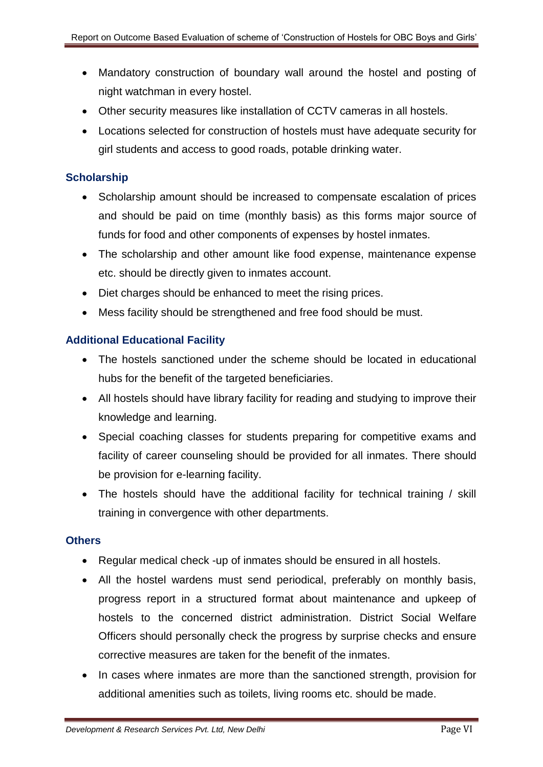- Mandatory construction of boundary wall around the hostel and posting of night watchman in every hostel.
- Other security measures like installation of CCTV cameras in all hostels.
- Locations selected for construction of hostels must have adequate security for girl students and access to good roads, potable drinking water.

## **Scholarship**

- Scholarship amount should be increased to compensate escalation of prices and should be paid on time (monthly basis) as this forms major source of funds for food and other components of expenses by hostel inmates.
- The scholarship and other amount like food expense, maintenance expense etc. should be directly given to inmates account.
- Diet charges should be enhanced to meet the rising prices.
- Mess facility should be strengthened and free food should be must.

## **Additional Educational Facility**

- The hostels sanctioned under the scheme should be located in educational hubs for the benefit of the targeted beneficiaries.
- All hostels should have library facility for reading and studying to improve their knowledge and learning.
- Special coaching classes for students preparing for competitive exams and facility of career counseling should be provided for all inmates. There should be provision for e-learning facility.
- The hostels should have the additional facility for technical training / skill training in convergence with other departments.

## **Others**

- Regular medical check -up of inmates should be ensured in all hostels.
- All the hostel wardens must send periodical, preferably on monthly basis, progress report in a structured format about maintenance and upkeep of hostels to the concerned district administration. District Social Welfare Officers should personally check the progress by surprise checks and ensure corrective measures are taken for the benefit of the inmates.
- In cases where inmates are more than the sanctioned strength, provision for additional amenities such as toilets, living rooms etc. should be made.